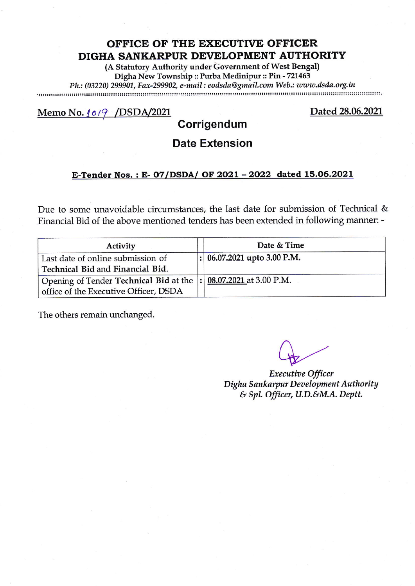(A Statutory Authority under Government of West Bengal) Digha New Township :: Purba Medinipur :: Pin - 721463

Ph; (03220) 299907, Eax-299902, e-mail : eoilsila@gmaiLcom Web.: zototts'ilsila.org.in

Memo No. 1019 / DSDA/2021

Dated 28.06.2021

# **Corrigendum**

## Date Extension

#### E-Tender Nos.: E-07/DSDA/ OF 2021 - 2022 dated 15.06.2021

Due to some unavoidable circumstances, the last date for submission of Technical & Financial Bid of the above mentioned tenders has been extended in following manner: -

| Activity                                                          | Date & Time                    |
|-------------------------------------------------------------------|--------------------------------|
| Last date of online submission of                                 | $ : 06.07.2021$ upto 3.00 P.M. |
| Technical Bid and Financial Bid.                                  |                                |
| Opening of Tender Technical Bid at the  : 08.07.2021 at 3.00 P.M. |                                |
| office of the Executive Officer, DSDA                             |                                |

 $Q_{\rm B}$ 

Digha Sankarpur Development Authority  $&$  Spl. Officer, U.D.&M.A. Deptt. Executioe Officer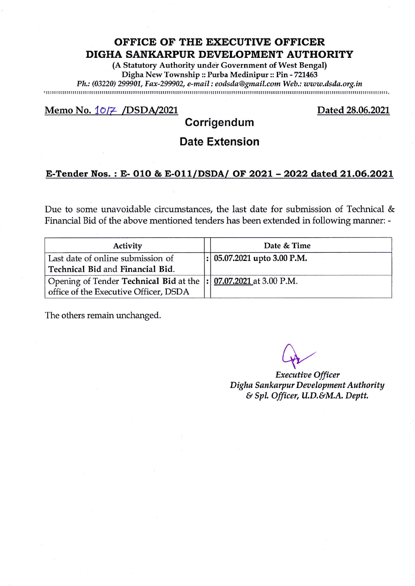(A Statutory Authority under Government of West Bengal) Digha New Township :: Purba Medinipur :: Pin - 721463 Ph.: (03220) 299907, Eax-299902, e-mail : eoilsila@gmail,com Web.: toww.ilsila.org.in

#### Memo No. 10/7 /DSDA/2021 Dated 28.06.2021

## Corrigendum

### Date Extension

#### E-Tender Nos. : E- O1O & E-O1I/DSDA/ OF 2O21 - 2O22 dated 21.O6.2O21

Due to some unavoidable circumstances, the last date for submission of Technical  $\&$ Financial Bid of the above mentioned tenders has been extended in following manner: -

| Activity                                                                                                   | Date & Time                     |  |
|------------------------------------------------------------------------------------------------------------|---------------------------------|--|
| Last date of online submission of<br>Technical Bid and Financial Bid.                                      | $ : 05.07.2021 $ upto 3.00 P.M. |  |
| Opening of Tender Technical Bid at the  : 07.07.2021 at 3.00 P.M.<br>office of the Executive Officer, DSDA |                                 |  |

Executioe Officer Digha Sankarpur Development Authority & Spl. Officer, U.D.&M.A. Deptt.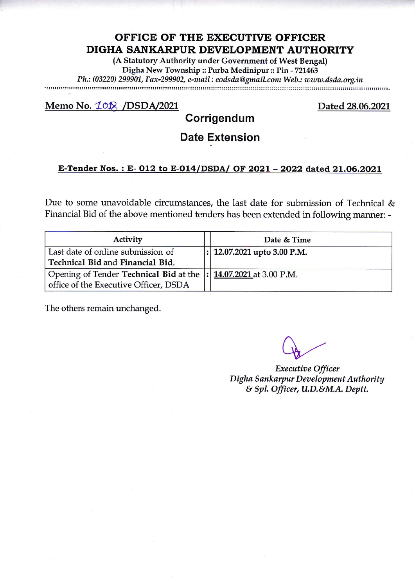(A Statutory Authority under Government of West Bengal) Digha New Township :: Purba Medinipur :: Pin - 727463

Ph.: (03220) 299907, Eax-299902, e-mail : eoilsila@gmaiLcom Web,: uuw,ilsila,org.in

#### Memo No. 10<sup>2</sup> /DSDA/2021

Dated 28.06.2021

### Corrigendum

# Date Extension

#### E-Tender Nos. : E- O12 to E-Ol4/DSDA/ OF 2O21 - 2022 dated 21.O6.2O21

Due to some unavoidable circumstances, the last date for submission of Technical & Financial Bid of the above mentioned tenders has been extended in following manner: -

| Activity                                                          | Date & Time                     |  |
|-------------------------------------------------------------------|---------------------------------|--|
| Last date of online submission of                                 | $ : 12.07.2021 $ upto 3.00 P.M. |  |
| Technical Bid and Financial Bid.                                  |                                 |  |
| Opening of Tender Technical Bid at the  : 14.07.2021 at 3.00 P.M. |                                 |  |
| office of the Executive Officer, DSDA                             |                                 |  |

Executive Officer Digha Sankarpur Development Authority  $\&$  Spl. Officer, U.D.&M.A. Deptt.